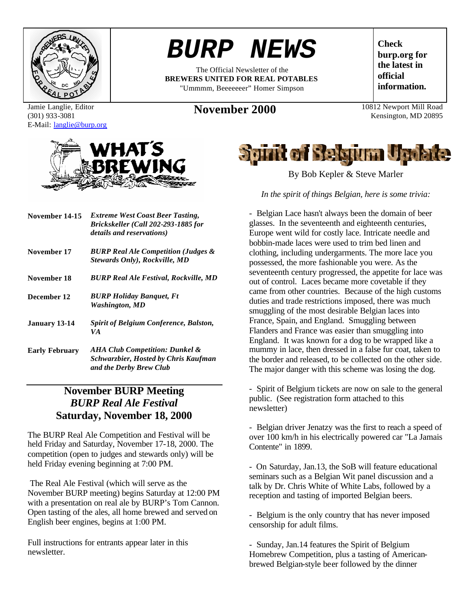

Jamie Langlie, Editor (301) 933-3081 E-Mail: langlie@burp.org



| November 14-15       | <b>Extreme West Coast Beer Tasting,</b><br>Brickskeller (Call 202-293-1885 for<br>details and reservations) |
|----------------------|-------------------------------------------------------------------------------------------------------------|
| November 17          | <b>BURP Real Ale Competition (Judges &amp;</b><br><b>Stewards Only), Rockville, MD</b>                      |
| November 18          | <b>BURP Real Ale Festival, Rockville, MD</b>                                                                |
| December 12          | <b>BURP Holiday Banquet, Ft</b><br>Washington, MD                                                           |
| <b>January 13-14</b> | <b>Spirit of Belgium Conference, Balston,</b><br>VA                                                         |
|                      |                                                                                                             |

**Early February** *AHA Club Competition: Dunkel & Schwarzbier, Hosted by Chris Kaufman and the Derby Brew Club*

## **November BURP Meeting** *BURP Real Ale Festival* **Saturday, November 18, 2000**

The BURP Real Ale Competition and Festival will be held Friday and Saturday, November 17-18, 2000. The competition (open to judges and stewards only) will be held Friday evening beginning at 7:00 PM.

 The Real Ale Festival (which will serve as the November BURP meeting) begins Saturday at 12:00 PM with a presentation on real ale by BURP's Tom Cannon. Open tasting of the ales, all home brewed and served on English beer engines, begins at 1:00 PM.

Full instructions for entrants appear later in this newsletter.

*BURP NEWS*

The Official Newsletter of the **BREWERS UNITED FOR REAL POTABLES** "Ummmm, Beeeeeeer" Homer Simpson

**November 2000** 10812 Newport Mill Road

**Check burp.org for the latest in official information.**

Kensington, MD 20895



By Bob Kepler & Steve Marler

*In the spirit of things Belgian, here is some trivia:*

- Belgian Lace hasn't always been the domain of beer glasses. In the seventeenth and eighteenth centuries, Europe went wild for costly lace. Intricate needle and bobbin-made laces were used to trim bed linen and clothing, including undergarments. The more lace you possessed, the more fashionable you were. As the seventeenth century progressed, the appetite for lace was out of control. Laces became more covetable if they came from other countries. Because of the high customs duties and trade restrictions imposed, there was much smuggling of the most desirable Belgian laces into France, Spain, and England. Smuggling between Flanders and France was easier than smuggling into England. It was known for a dog to be wrapped like a mummy in lace, then dressed in a false fur coat, taken to the border and released, to be collected on the other side. The major danger with this scheme was losing the dog.

- Spirit of Belgium tickets are now on sale to the general public. (See registration form attached to this newsletter)

- Belgian driver Jenatzy was the first to reach a speed of over 100 km/h in his electrically powered car "La Jamais Contente" in 1899.

- On Saturday, Jan.13, the SoB will feature educational seminars such as a Belgian Wit panel discussion and a talk by Dr. Chris White of White Labs, followed by a reception and tasting of imported Belgian beers.

- Belgium is the only country that has never imposed censorship for adult films.

- Sunday, Jan.14 features the Spirit of Belgium Homebrew Competition, plus a tasting of Americanbrewed Belgian-style beer followed by the dinner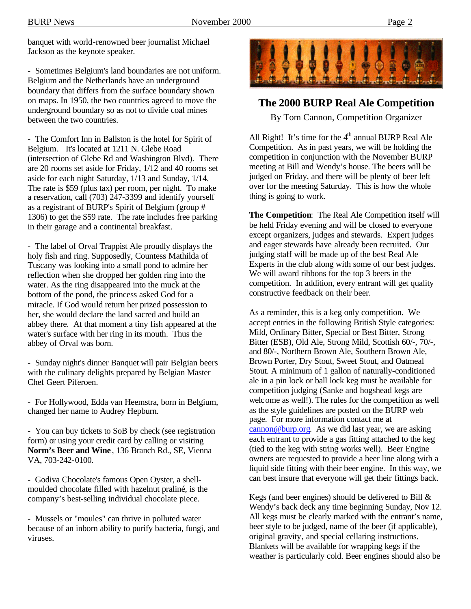banquet with world-renowned beer journalist Michael Jackson as the keynote speaker.

- Sometimes Belgium's land boundaries are not uniform. Belgium and the Netherlands have an underground boundary that differs from the surface boundary shown on maps. In 1950, the two countries agreed to move the underground boundary so as not to divide coal mines between the two countries.

- The Comfort Inn in Ballston is the hotel for Spirit of Belgium. It's located at 1211 N. Glebe Road (intersection of Glebe Rd and Washington Blvd). There are 20 rooms set aside for Friday, 1/12 and 40 rooms set aside for each night Saturday, 1/13 and Sunday, 1/14. The rate is \$59 (plus tax) per room, per night. To make a reservation, call (703) 247-3399 and identify yourself as a registrant of BURP's Spirit of Belgium (group # 1306) to get the \$59 rate. The rate includes free parking in their garage and a continental breakfast.

- The label of Orval Trappist Ale proudly displays the holy fish and ring. Supposedly, Countess Mathilda of Tuscany was looking into a small pond to admire her reflection when she dropped her golden ring into the water. As the ring disappeared into the muck at the bottom of the pond, the princess asked God for a miracle. If God would return her prized possession to her, she would declare the land sacred and build an abbey there. At that moment a tiny fish appeared at the water's surface with her ring in its mouth. Thus the abbey of Orval was born.

- Sunday night's dinner Banquet will pair Belgian beers with the culinary delights prepared by Belgian Master Chef Geert Piferoen.

- For Hollywood, Edda van Heemstra, born in Belgium, changed her name to Audrey Hepburn.

- You can buy tickets to SoB by check (see registration form) or using your credit card by calling or visiting **Norm's Beer and Wine** , 136 Branch Rd., SE, Vienna VA, 703-242-0100.

- Godiva Chocolate's famous Open Oyster, a shellmoulded chocolate filled with hazelnut praliné, is the company's best-selling individual chocolate piece.

- Mussels or "moules" can thrive in polluted water because of an inborn ability to purify bacteria, fungi, and viruses.



### **The 2000 BURP Real Ale Competition**

By Tom Cannon, Competition Organizer

All Right! It's time for the  $4<sup>th</sup>$  annual BURP Real Ale Competition. As in past years, we will be holding the competition in conjunction with the November BURP meeting at Bill and Wendy's house. The beers will be judged on Friday, and there will be plenty of beer left over for the meeting Saturday. This is how the whole thing is going to work.

**The Competition**: The Real Ale Competition itself will be held Friday evening and will be closed to everyone except organizers, judges and stewards. Expert judges and eager stewards have already been recruited. Our judging staff will be made up of the best Real Ale Experts in the club along with some of our best judges. We will award ribbons for the top 3 beers in the competition. In addition, every entrant will get quality constructive feedback on their beer.

As a reminder, this is a keg only competition. We accept entries in the following British Style categories: Mild, Ordinary Bitter, Special or Best Bitter, Strong Bitter (ESB), Old Ale, Strong Mild, Scottish 60/-, 70/-, and 80/-, Northern Brown Ale, Southern Brown Ale, Brown Porter, Dry Stout, Sweet Stout, and Oatmeal Stout. A minimum of 1 gallon of naturally-conditioned ale in a pin lock or ball lock keg must be available for competition judging (Sanke and hogshead kegs are welcome as well!). The rules for the competition as well as the style guidelines are posted on the BURP web page. For more information contact me at cannon@burp.org. As we did last year, we are asking each entrant to provide a gas fitting attached to the keg (tied to the keg with string works well). Beer Engine owners are requested to provide a beer line along with a liquid side fitting with their beer engine. In this way, we can best insure that everyone will get their fittings back.

Kegs (and beer engines) should be delivered to Bill & Wendy's back deck any time beginning Sunday, Nov 12. All kegs must be clearly marked with the entrant's name, beer style to be judged, name of the beer (if applicable), original gravity, and special cellaring instructions. Blankets will be available for wrapping kegs if the weather is particularly cold. Beer engines should also be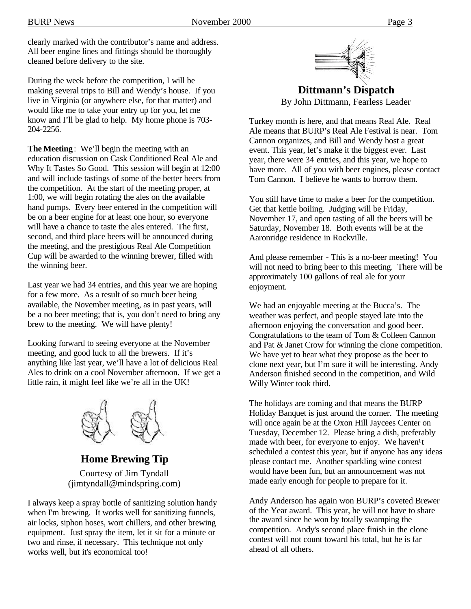clearly marked with the contributor's name and address. All beer engine lines and fittings should be thoroughly cleaned before delivery to the site.

During the week before the competition, I will be making several trips to Bill and Wendy's house. If you live in Virginia (or anywhere else, for that matter) and would like me to take your entry up for you, let me know and I'll be glad to help. My home phone is 703- 204-2256.

**The Meeting**: We'll begin the meeting with an education discussion on Cask Conditioned Real Ale and Why It Tastes So Good. This session will begin at 12:00 and will include tastings of some of the better beers from the competition. At the start of the meeting proper, at 1:00, we will begin rotating the ales on the available hand pumps. Every beer entered in the competition will be on a beer engine for at least one hour, so everyone will have a chance to taste the ales entered. The first, second, and third place beers will be announced during the meeting, and the prestigious Real Ale Competition Cup will be awarded to the winning brewer, filled with the winning beer.

Last year we had 34 entries, and this year we are hoping for a few more. As a result of so much beer being available, the November meeting, as in past years, will be a no beer meeting; that is, you don't need to bring any brew to the meeting. We will have plenty!

Looking forward to seeing everyone at the November meeting, and good luck to all the brewers. If it's anything like last year, we'll have a lot of delicious Real Ales to drink on a cool November afternoon. If we get a little rain, it might feel like we're all in the UK!



**Home Brewing Tip** Courtesy of Jim Tyndall (jimtyndall@mindspring.com)

I always keep a spray bottle of sanitizing solution handy when I'm brewing. It works well for sanitizing funnels, air locks, siphon hoses, wort chillers, and other brewing equipment. Just spray the item, let it sit for a minute or two and rinse, if necessary. This technique not only works well, but it's economical too!



**Dittmann's Dispatch** By John Dittmann, Fearless Leader

Turkey month is here, and that means Real Ale. Real Ale means that BURP's Real Ale Festival is near. Tom Cannon organizes, and Bill and Wendy host a great event. This year, let's make it the biggest ever. Last year, there were 34 entries, and this year, we hope to have more. All of you with beer engines, please contact Tom Cannon. I believe he wants to borrow them.

You still have time to make a beer for the competition. Get that kettle boiling. Judging will be Friday, November 17, and open tasting of all the beers will be Saturday, November 18. Both events will be at the Aaronridge residence in Rockville.

And please remember - This is a no-beer meeting! You will not need to bring beer to this meeting. There will be approximately 100 gallons of real ale for your enjoyment.

We had an enjoyable meeting at the Bucca's. The weather was perfect, and people stayed late into the afternoon enjoying the conversation and good beer. Congratulations to the team of Tom & Colleen Cannon and Pat & Janet Crow for winning the clone competition. We have yet to hear what they propose as the beer to clone next year, but I'm sure it will be interesting. Andy Anderson finished second in the competition, and Wild Willy Winter took third.

The holidays are coming and that means the BURP Holiday Banquet is just around the corner. The meeting will once again be at the Oxon Hill Jaycees Center on Tuesday, December 12. Please bring a dish, preferably made with beer, for everyone to enjoy. We haven<sup>1</sup>t scheduled a contest this year, but if anyone has any ideas please contact me. Another sparkling wine contest would have been fun, but an announcement was not made early enough for people to prepare for it.

Andy Anderson has again won BURP's coveted Brewer of the Year award. This year, he will not have to share the award since he won by totally swamping the competition. Andy's second place finish in the clone contest will not count toward his total, but he is far ahead of all others.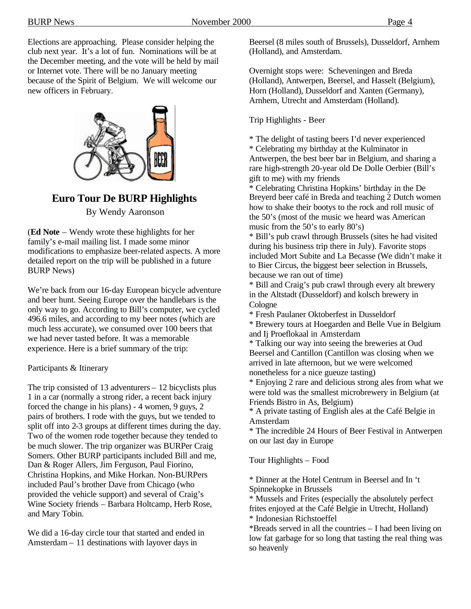Elections are approaching. Please consider helping the club next year. It's a lot of fun. Nominations will be at the December meeting, and the vote will be held by mail or Internet vote. There will be no January meeting because of the Spirit of Belgium. We will welcome our new officers in February.



## **Euro Tour De BURP Highlights**

By Wendy Aaronson

(**Ed Note** – Wendy wrote these highlights for her family's e-mail mailing list. I made some minor modifications to emphasize beer-related aspects. A more detailed report on the trip will be published in a future BURP News)

We're back from our 16-day European bicycle adventure and beer hunt. Seeing Europe over the handlebars is the only way to go. According to Bill's computer, we cycled 496.6 miles, and according to my beer notes (which are much less accurate), we consumed over 100 beers that we had never tasted before. It was a memorable experience. Here is a brief summary of the trip:

Participants & Itinerary

The trip consisted of 13 adventurers – 12 bicyclists plus 1 in a car (normally a strong rider, a recent back injury forced the change in his plans) - 4 women, 9 guys, 2 pairs of brothers. I rode with the guys, but we tended to split off into 2-3 groups at different times during the day. Two of the women rode together because they tended to be much slower. The trip organizer was BURPer Craig Somers. Other BURP participants included Bill and me, Dan & Roger Allers, Jim Ferguson, Paul Fiorino, Christina Hopkins, and Mike Horkan. Non-BURPers included Paul's brother Dave from Chicago (who provided the vehicle support) and several of Craig's Wine Society friends – Barbara Holtcamp, Herb Rose, and Mary Tobin.

We did a 16-day circle tour that started and ended in Amsterdam – 11 destinations with layover days in

Beersel (8 miles south of Brussels), Dusseldorf, Arnhem (Holland), and Amsterdam.

Overnight stops were: Scheveningen and Breda (Holland), Antwerpen, Beersel, and Hasselt (Belgium), Horn (Holland), Dusseldorf and Xanten (Germany), Arnhem, Utrecht and Amsterdam (Holland).

#### Trip Highlights - Beer

\* The delight of tasting beers I'd never experienced \* Celebrating my birthday at the Kulminator in Antwerpen, the best beer bar in Belgium, and sharing a rare high-strength 20-year old De Dolle Oerbier (Bill's gift to me) with my friends

\* Celebrating Christina Hopkins' birthday in the De Breyerd beer café in Breda and teaching 2 Dutch women how to shake their bootys to the rock and roll music of the 50's (most of the music we heard was American music from the 50's to early 80's)

\* Bill's pub crawl through Brussels (sites he had visited during his business trip there in July). Favorite stops included Mort Subite and La Becasse (We didn't make it to Bier Circus, the biggest beer selection in Brussels, because we ran out of time)

\* Bill and Craig's pub crawl through every alt brewery in the Altstadt (Dusseldorf) and kolsch brewery in Cologne

\* Fresh Paulaner Oktoberfest in Dusseldorf

\* Brewery tours at Hoegarden and Belle Vue in Belgium and Ij Proeflokaal in Amsterdam

\* Talking our way into seeing the breweries at Oud Beersel and Cantillon (Cantillon was closing when we arrived in late afternoon, but we were welcomed nonetheless for a nice gueuze tasting)

\* Enjoying 2 rare and delicious strong ales from what we were told was the smallest microbrewery in Belgium (at Friends Bistro in As, Belgium)

\* A private tasting of English ales at the Café Belgie in Amsterdam

\* The incredible 24 Hours of Beer Festival in Antwerpen on our last day in Europe

Tour Highlights – Food

\* Dinner at the Hotel Centrum in Beersel and In 't Spinnekopke in Brussels

\* Mussels and Frites (especially the absolutely perfect frites enjoyed at the Café Belgie in Utrecht, Holland) \* Indonesian Richstoeffel

\*Breads served in all the countries – I had been living on low fat garbage for so long that tasting the real thing was so heavenly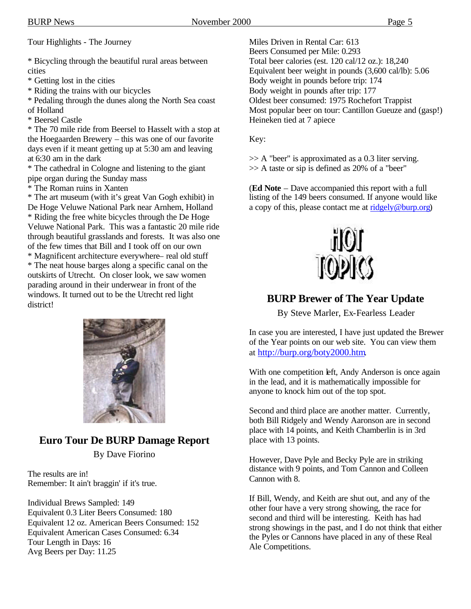Tour Highlights - The Journey

\* Bicycling through the beautiful rural areas between cities

\* Getting lost in the cities

\* Riding the trains with our bicycles

\* Pedaling through the dunes along the North Sea coast of Holland

\* Beersel Castle

\* The 70 mile ride from Beersel to Hasselt with a stop at the Hoegaarden Brewery – this was one of our favorite days even if it meant getting up at 5:30 am and leaving at 6:30 am in the dark

\* The cathedral in Cologne and listening to the giant pipe organ during the Sunday mass

\* The Roman ruins in Xanten

\* The art museum (with it's great Van Gogh exhibit) in De Hoge Veluwe National Park near Arnhem, Holland \* Riding the free white bicycles through the De Hoge Veluwe National Park. This was a fantastic 20 mile ride through beautiful grasslands and forests. It was also one of the few times that Bill and I took off on our own \* Magnificent architecture everywhere– real old stuff

\* The neat house barges along a specific canal on the outskirts of Utrecht. On closer look, we saw women parading around in their underwear in front of the windows. It turned out to be the Utrecht red light district!



## **Euro Tour De BURP Damage Report**

By Dave Fiorino

The results are in! Remember: It ain't braggin' if it's true.

Individual Brews Sampled: 149 Equivalent 0.3 Liter Beers Consumed: 180 Equivalent 12 oz. American Beers Consumed: 152 Equivalent American Cases Consumed: 6.34 Tour Length in Days: 16 Avg Beers per Day: 11.25

Miles Driven in Rental Car: 613 Beers Consumed per Mile: 0.293 Total beer calories (est. 120 cal/12 oz.): 18,240 Equivalent beer weight in pounds (3,600 cal/lb): 5.06 Body weight in pounds before trip: 174 Body weight in pounds after trip: 177 Oldest beer consumed: 1975 Rochefort Trappist Most popular beer on tour: Cantillon Gueuze and (gasp!) Heineken tied at 7 apiece

Key:

>> A "beer" is approximated as a 0.3 liter serving. >> A taste or sip is defined as 20% of a "beer"

(**Ed Note** – Dave accompanied this report with a full listing of the 149 beers consumed. If anyone would like a copy of this, please contact me at ridgely@burp.org)



## **BURP Brewer of The Year Update**

By Steve Marler, Ex-Fearless Leader

In case you are interested, I have just updated the Brewer of the Year points on our web site. You can view them at http://burp.org/boty2000.htm.

With one competition left, Andy Anderson is once again in the lead, and it is mathematically impossible for anyone to knock him out of the top spot.

Second and third place are another matter. Currently, both Bill Ridgely and Wendy Aaronson are in second place with 14 points, and Keith Chamberlin is in 3rd place with 13 points.

However, Dave Pyle and Becky Pyle are in striking distance with 9 points, and Tom Cannon and Colleen Cannon with 8.

If Bill, Wendy, and Keith are shut out, and any of the other four have a very strong showing, the race for second and third will be interesting. Keith has had strong showings in the past, and I do not think that either the Pyles or Cannons have placed in any of these Real Ale Competitions.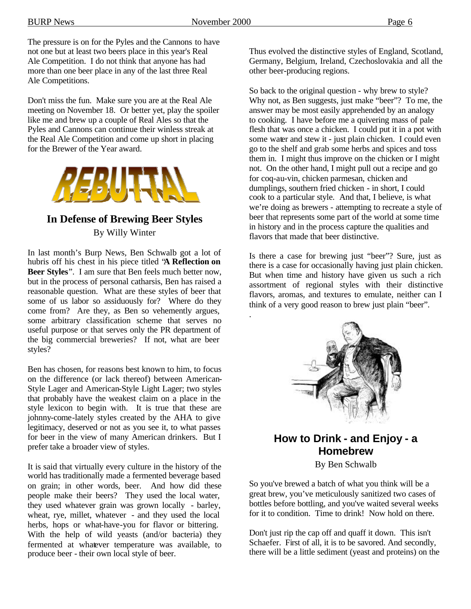.

The pressure is on for the Pyles and the Cannons to have not one but at least two beers place in this year's Real Ale Competition. I do not think that anyone has had more than one beer place in any of the last three Real Ale Competitions.

Don't miss the fun. Make sure you are at the Real Ale meeting on November 18. Or better yet, play the spoiler like me and brew up a couple of Real Ales so that the Pyles and Cannons can continue their winless streak at the Real Ale Competition and come up short in placing for the Brewer of the Year award.



## **In Defense of Brewing Beer Styles** By Willy Winter

In last month's Burp News, Ben Schwalb got a lot of hubris off his chest in his piece titled "**A Reflection on Beer Styles**". I am sure that Ben feels much better now, but in the process of personal catharsis, Ben has raised a reasonable question. What are these styles of beer that some of us labor so assiduously for? Where do they come from? Are they, as Ben so vehemently argues, some arbitrary classification scheme that serves no useful purpose or that serves only the PR department of the big commercial breweries? If not, what are beer styles?

Ben has chosen, for reasons best known to him, to focus on the difference (or lack thereof) between American-Style Lager and American-Style Light Lager; two styles that probably have the weakest claim on a place in the style lexicon to begin with. It is true that these are johnny-come-lately styles created by the AHA to give legitimacy, deserved or not as you see it, to what passes for beer in the view of many American drinkers. But I prefer take a broader view of styles.

It is said that virtually every culture in the history of the world has traditionally made a fermented beverage based on grain; in other words, beer. And how did these people make their beers? They used the local water, they used whatever grain was grown locally - barley, wheat, rye, millet, whatever - and they used the local herbs, hops or what-have-you for flavor or bittering. With the help of wild yeasts (and/or bacteria) they fermented at whatever temperature was available, to produce beer - their own local style of beer.

Thus evolved the distinctive styles of England, Scotland, Germany, Belgium, Ireland, Czechoslovakia and all the other beer-producing regions.

So back to the original question - why brew to style? Why not, as Ben suggests, just make "beer"? To me, the answer may be most easily apprehended by an analogy to cooking. I have before me a quivering mass of pale flesh that was once a chicken. I could put it in a pot with some water and stew it - just plain chicken. I could even go to the shelf and grab some herbs and spices and toss them in. I might thus improve on the chicken or I might not. On the other hand, I might pull out a recipe and go for coq-au-vin, chicken parmesan, chicken and dumplings, southern fried chicken - in short, I could cook to a particular style. And that, I believe, is what we're doing as brewers - attempting to recreate a style of beer that represents some part of the world at some time in history and in the process capture the qualities and flavors that made that beer distinctive.

Is there a case for brewing just "beer"? Sure, just as there is a case for occasionally having just plain chicken. But when time and history have given us such a rich assortment of regional styles with their distinctive flavors, aromas, and textures to emulate, neither can I think of a very good reason to brew just plain "beer".



## **How to Drink - and Enjoy - a Homebrew**

By Ben Schwalb

So you've brewed a batch of what you think will be a great brew, you've meticulously sanitized two cases of bottles before bottling, and you've waited several weeks for it to condition. Time to drink! Now hold on there.

Don't just rip the cap off and quaff it down. This isn't Schaefer. First of all, it is to be savored. And secondly, there will be a little sediment (yeast and proteins) on the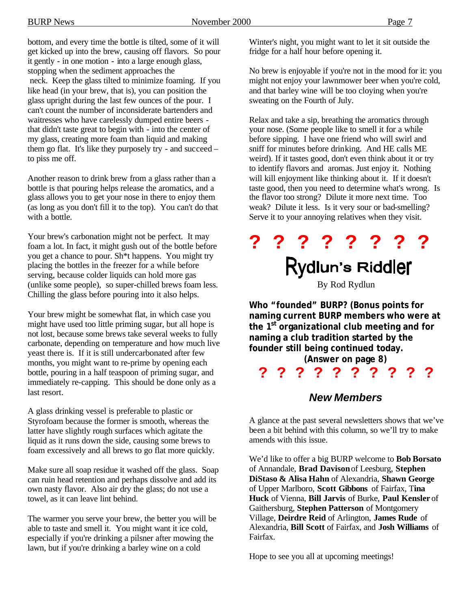bottom, and every time the bottle is tilted, some of it will get kicked up into the brew, causing off flavors. So pour it gently - in one motion - into a large enough glass, stopping when the sediment approaches the neck. Keep the glass tilted to minimize foaming. If you like head (in your brew, that is), you can position the glass upright during the last few ounces of the pour. I can't count the number of inconsiderate bartenders and waitresses who have carelessly dumped entire beers that didn't taste great to begin with - into the center of my glass, creating more foam than liquid and making them go flat. It's like they purposely try - and succeed – to piss me off.

Another reason to drink brew from a glass rather than a bottle is that pouring helps release the aromatics, and a glass allows you to get your nose in there to enjoy them (as long as you don't fill it to the top). You can't do that with a bottle.

Your brew's carbonation might not be perfect. It may foam a lot. In fact, it might gush out of the bottle before you get a chance to pour. Sh\*t happens. You might try placing the bottles in the freezer for a while before serving, because colder liquids can hold more gas (unlike some people), so super-chilled brews foam less. Chilling the glass before pouring into it also helps.

Your brew might be somewhat flat, in which case you might have used too little priming sugar, but all hope is not lost, because some brews take several weeks to fully carbonate, depending on temperature and how much live yeast there is. If it is still undercarbonated after few months, you might want to re-prime by opening each bottle, pouring in a half teaspoon of priming sugar, and immediately re-capping. This should be done only as a last resort.

A glass drinking vessel is preferable to plastic or Styrofoam because the former is smooth, whereas the latter have slightly rough surfaces which agitate the liquid as it runs down the side, causing some brews to foam excessively and all brews to go flat more quickly.

Make sure all soap residue it washed off the glass. Soap can ruin head retention and perhaps dissolve and add its own nasty flavor. Also air dry the glass; do not use a towel, as it can leave lint behind.

The warmer you serve your brew, the better you will be able to taste and smell it. You might want it ice cold, especially if you're drinking a pilsner after mowing the lawn, but if you're drinking a barley wine on a cold

Winter's night, you might want to let it sit outside the fridge for a half hour before opening it.

No brew is enjoyable if you're not in the mood for it: you might not enjoy your lawnmower beer when you're cold, and that barley wine will be too cloying when you're sweating on the Fourth of July.

Relax and take a sip, breathing the aromatics through your nose. (Some people like to smell it for a while before sipping. I have one friend who will swirl and sniff for minutes before drinking. And HE calls ME weird). If it tastes good, don't even think about it or try to identify flavors and aromas. Just enjoy it. Nothing will kill enjoyment like thinking about it. If it doesn't taste good, then you need to determine what's wrong. Is the flavor too strong? Dilute it more next time. Too weak? Dilute it less. Is it very sour or bad-smelling? Serve it to your annoying relatives when they visit.

# **? ? ? ? ? ? ? ?** Rydlun's Riddler

By Rod Rydlun

**Who "founded" BURP? (Bonus points for naming current BURP members who were at the 1st organizational club meeting and for naming a club tradition started by the founder still being continued today.**

**(Answer on page 8)**

**? ? ? ? ? ? ? ? ? ?** 

## *New Members*

A glance at the past several newsletters shows that we've been a bit behind with this column, so we'll try to make amends with this issue.

We'd like to offer a big BURP welcome to **Bob Borsato** of Annandale, **Brad Davison** of Leesburg, **Stephen DiStaso & Alisa Hahn** of Alexandria, **Shawn George** of Upper Marlboro, **Scott Gibbons** of Fairfax, T**ina Huck** of Vienna, **Bill Jarvis** of Burke, **Paul Kensler** of Gaithersburg, **Stephen Patterson** of Montgomery Village, **Deirdre Reid** of Arlington, **James Rude** of Alexandria, **Bill Scott** of Fairfax, and **Josh Williams** of Fairfax.

Hope to see you all at upcoming meetings!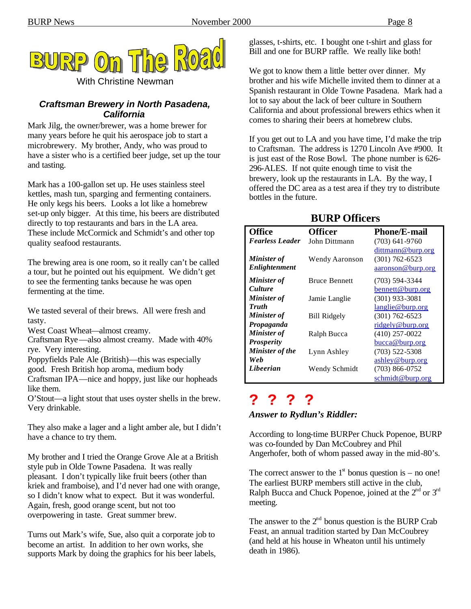

With Christine Newman

### *Craftsman Brewery in North Pasadena, California*

Mark Jilg, the owner/brewer, was a home brewer for many years before he quit his aerospace job to start a microbrewery. My brother, Andy, who was proud to have a sister who is a certified beer judge, set up the tour and tasting.

Mark has a 100-gallon set up. He uses stainless steel kettles, mash tun, sparging and fermenting containers. He only kegs his beers. Looks a lot like a homebrew set-up only bigger. At this time, his beers are distributed directly to top restaurants and bars in the LA area. These include McCormick and Schmidt's and other top quality seafood restaurants.

The brewing area is one room, so it really can't be called a tour, but he pointed out his equipment. We didn't get to see the fermenting tanks because he was open fermenting at the time.

We tasted several of their brews. All were fresh and tasty.

West Coast Wheat—almost creamy.

Craftsman Rye—also almost creamy. Made with 40% rye. Very interesting.

Poppyfields Pale Ale (British)—this was especially

good. Fresh British hop aroma, medium body

Craftsman IPA—nice and hoppy, just like our hopheads like them.

O'Stout—a light stout that uses oyster shells in the brew. Very drinkable.

They also make a lager and a light amber ale, but I didn't have a chance to try them.

My brother and I tried the Orange Grove Ale at a British style pub in Olde Towne Pasadena. It was really pleasant. I don't typically like fruit beers (other than kriek and framboise), and I'd never had one with orange, so I didn't know what to expect. But it was wonderful. Again, fresh, good orange scent, but not too overpowering in taste. Great summer brew.

Turns out Mark's wife, Sue, also quit a corporate job to become an artist. In addition to her own works, she supports Mark by doing the graphics for his beer labels, glasses, t-shirts, etc. I bought one t-shirt and glass for Bill and one for BURP raffle. We really like both!

We got to know them a little better over dinner. My brother and his wife Michelle invited them to dinner at a Spanish restaurant in Olde Towne Pasadena. Mark had a lot to say about the lack of beer culture in Southern California and about professional brewers ethics when it comes to sharing their beers at homebrew clubs.

If you get out to LA and you have time, I'd make the trip to Craftsman. The address is 1270 Lincoln Ave #900. It is just east of the Rose Bowl. The phone number is 626- 296-ALES. If not quite enough time to visit the brewery, look up the restaurants in LA. By the way, I offered the DC area as a test area if they try to distribute bottles in the future.

| <b>Office</b>          | <b>Officer</b>       | <b>Phone/E-mail</b> |  |  |
|------------------------|----------------------|---------------------|--|--|
| <b>Fearless Leader</b> | John Dittmann        | $(703)$ 641-9760    |  |  |
|                        |                      | dittmann@burp.org   |  |  |
| <b>Minister</b> of     | Wendy Aaronson       | $(301)$ 762-6523    |  |  |
| Enlightenment          |                      | aaronson@burp.org   |  |  |
| <b>Minister</b> of     | <b>Bruce Bennett</b> | $(703)$ 594-3344    |  |  |
| <b>Culture</b>         |                      | bennett@burp.org    |  |  |
| <b>Minister</b> of     | Jamie Langlie        | $(301)$ 933-3081    |  |  |
| <b>Truth</b>           |                      | langlie@burp.org    |  |  |
| <b>Minister of</b>     | <b>Bill Ridgely</b>  | $(301)$ 762-6523    |  |  |
| Propaganda             |                      | ridgely@burp.org    |  |  |
| <b>Minister of</b>     | Ralph Bucca          | $(410)$ 257-0022    |  |  |
| <b>Prosperity</b>      |                      | bucca@burp.org      |  |  |
| <b>Minister of the</b> | Lynn Ashley          | $(703)$ 522-5308    |  |  |
| Web                    |                      | ashley@burp.org     |  |  |
| Libeerian              | Wendy Schmidt        | $(703)$ 866-0752    |  |  |
|                        |                      | schmidt@burp.org    |  |  |

## **BURP Officers**

## **? ? ? ?** *Answer to Rydlun's Riddler:*

According to long-time BURPer Chuck Popenoe, BURP was co-founded by Dan McCoubrey and Phil Angerhofer, both of whom passed away in the mid-80's.

The correct answer to the  $1<sup>st</sup>$  bonus question is – no one! The earliest BURP members still active in the club, Ralph Bucca and Chuck Popenoe, joined at the  $2^{nd}$  or  $3^{rd}$ meeting.

The answer to the  $2<sup>nd</sup>$  bonus question is the BURP Crab Feast, an annual tradition started by Dan McCoubrey (and held at his house in Wheaton until his untimely death in 1986).